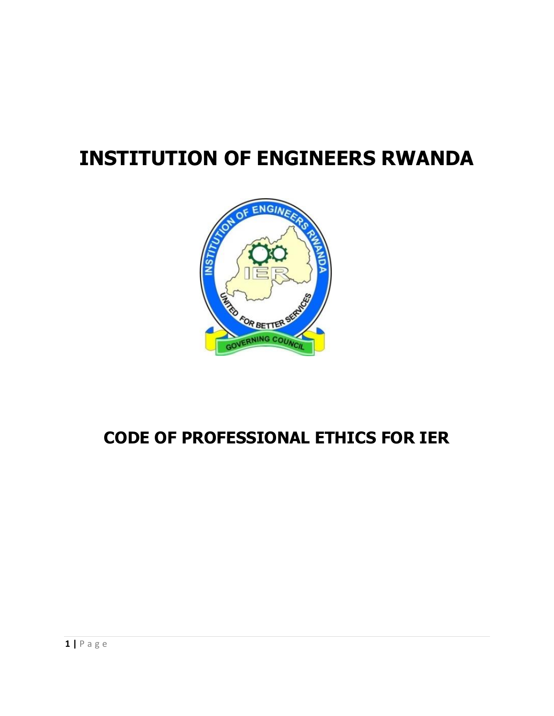# **INSTITUTION OF ENGINEERS RWANDA**



# **CODE OF PROFESSIONAL ETHICS FOR IER**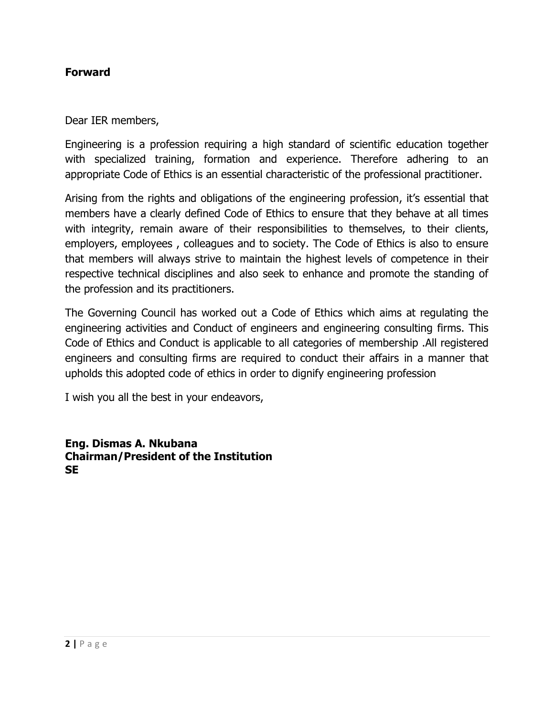#### **Forward**

Dear IER members,

Engineering is a profession requiring a high standard of scientific education together with specialized training, formation and experience. Therefore adhering to an appropriate Code of Ethics is an essential characteristic of the professional practitioner.

Arising from the rights and obligations of the engineering profession, it's essential that members have a clearly defined Code of Ethics to ensure that they behave at all times with integrity, remain aware of their responsibilities to themselves, to their clients, employers, employees , colleagues and to society. The Code of Ethics is also to ensure that members will always strive to maintain the highest levels of competence in their respective technical disciplines and also seek to enhance and promote the standing of the profession and its practitioners.

The Governing Council has worked out a Code of Ethics which aims at regulating the engineering activities and Conduct of engineers and engineering consulting firms. This Code of Ethics and Conduct is applicable to all categories of membership .All registered engineers and consulting firms are required to conduct their affairs in a manner that upholds this adopted code of ethics in order to dignify engineering profession

I wish you all the best in your endeavors,

**Eng. Dismas A. Nkubana Chairman/President of the Institution SE**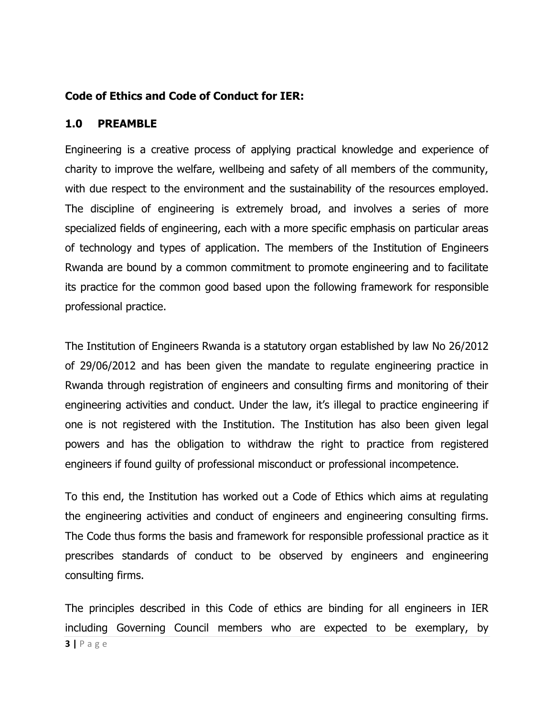#### **Code of Ethics and Code of Conduct for IER:**

#### **1.0 PREAMBLE**

Engineering is a creative process of applying practical knowledge and experience of charity to improve the welfare, wellbeing and safety of all members of the community, with due respect to the environment and the sustainability of the resources employed. The discipline of engineering is extremely broad, and involves a series of more specialized [fields of engineering,](http://en.wikipedia.org/wiki/List_of_engineering_branches) each with a more specific emphasis on particular areas of technology and types of application. The members of the Institution of Engineers Rwanda are bound by a common commitment to promote engineering and to facilitate its practice for the common good based upon the following framework for responsible professional practice.

The Institution of Engineers Rwanda is a statutory organ established by law No 26/2012 of 29/06/2012 and has been given the mandate to regulate engineering practice in Rwanda through registration of engineers and consulting firms and monitoring of their engineering activities and conduct. Under the law, it's illegal to practice engineering if one is not registered with the Institution. The Institution has also been given legal powers and has the obligation to withdraw the right to practice from registered engineers if found guilty of professional misconduct or professional incompetence.

To this end, the Institution has worked out a Code of Ethics which aims at regulating the engineering activities and conduct of engineers and engineering consulting firms. The Code thus forms the basis and framework for responsible professional practice as it prescribes standards of conduct to be observed by engineers and engineering consulting firms.

**3 |** P a g e The principles described in this Code of ethics are binding for all engineers in IER including Governing Council members who are expected to be exemplary, by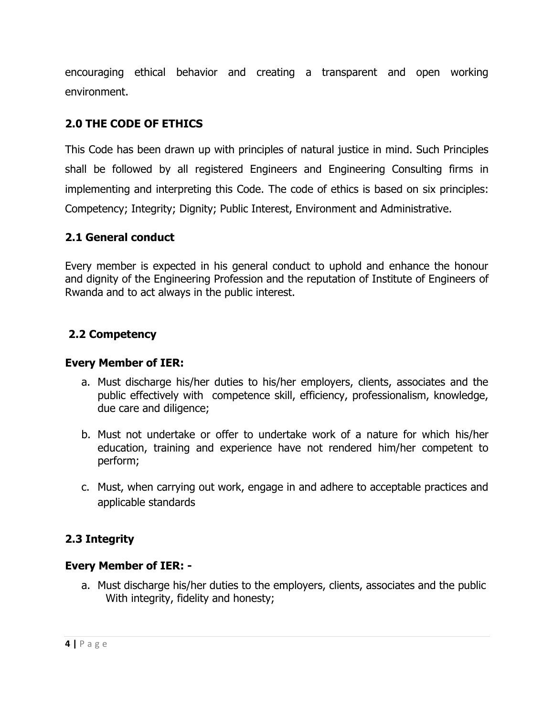encouraging ethical behavior and creating a transparent and open working environment.

# **2.0 THE CODE OF ETHICS**

This Code has been drawn up with principles of natural justice in mind. Such Principles shall be followed by all registered Engineers and Engineering Consulting firms in implementing and interpreting this Code. The code of ethics is based on six principles: Competency; Integrity; Dignity; Public Interest, Environment and Administrative.

#### **2.1 General conduct**

Every member is expected in his general conduct to uphold and enhance the honour and dignity of the Engineering Profession and the reputation of Institute of Engineers of Rwanda and to act always in the public interest.

#### **2.2 Competency**

#### **Every Member of IER:**

- a. Must discharge his/her duties to his/her employers, clients, associates and the public effectively with competence skill, efficiency, professionalism, knowledge, due care and diligence;
- b. Must not undertake or offer to undertake work of a nature for which his/her education, training and experience have not rendered him/her competent to perform;
- c. Must, when carrying out work, engage in and adhere to acceptable practices and applicable standards

#### **2.3 Integrity**

#### **Every Member of IER: -**

a. Must discharge his/her duties to the employers, clients, associates and the public With integrity, fidelity and honesty;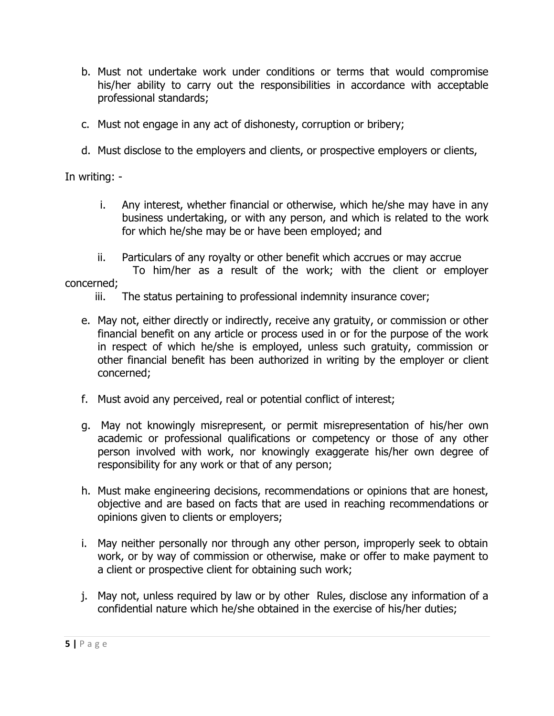- b. Must not undertake work under conditions or terms that would compromise his/her ability to carry out the responsibilities in accordance with acceptable professional standards;
- c. Must not engage in any act of dishonesty, corruption or bribery;
- d. Must disclose to the employers and clients, or prospective employers or clients,

In writing: -

- i. Any interest, whether financial or otherwise, which he/she may have in any business undertaking, or with any person, and which is related to the work for which he/she may be or have been employed; and
- ii. Particulars of any royalty or other benefit which accrues or may accrue
- To him/her as a result of the work; with the client or employer concerned;
	- iii. The status pertaining to professional indemnity insurance cover;
	- e. May not, either directly or indirectly, receive any gratuity, or commission or other financial benefit on any article or process used in or for the purpose of the work in respect of which he/she is employed, unless such gratuity, commission or other financial benefit has been authorized in writing by the employer or client concerned;
	- f. Must avoid any perceived, real or potential conflict of interest;
	- g. May not knowingly misrepresent, or permit misrepresentation of his/her own academic or professional qualifications or competency or those of any other person involved with work, nor knowingly exaggerate his/her own degree of responsibility for any work or that of any person;
	- h. Must make engineering decisions, recommendations or opinions that are honest, objective and are based on facts that are used in reaching recommendations or opinions given to clients or employers;
	- i. May neither personally nor through any other person, improperly seek to obtain work, or by way of commission or otherwise, make or offer to make payment to a client or prospective client for obtaining such work;
	- j. May not, unless required by law or by other Rules, disclose any information of a confidential nature which he/she obtained in the exercise of his/her duties;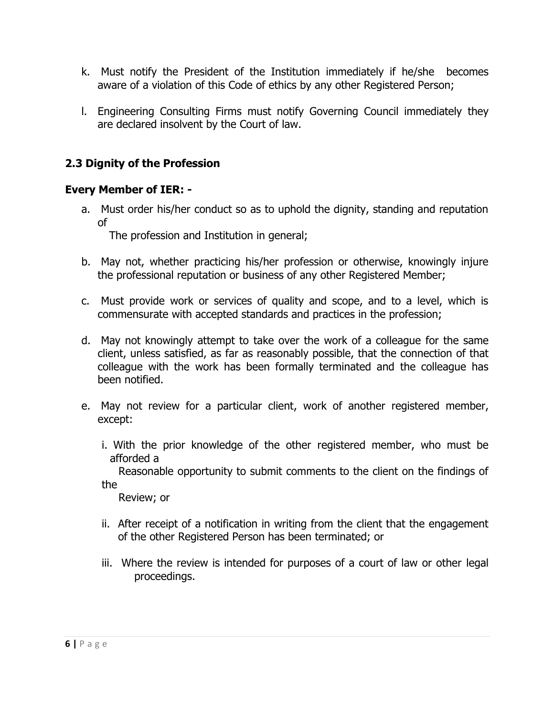- k. Must notify the President of the Institution immediately if he/she becomes aware of a violation of this Code of ethics by any other Registered Person;
- l. Engineering Consulting Firms must notify Governing Council immediately they are declared insolvent by the Court of law.

# **2.3 Dignity of the Profession**

#### **Every Member of IER: -**

a. Must order his/her conduct so as to uphold the dignity, standing and reputation of

The profession and Institution in general;

- b. May not, whether practicing his/her profession or otherwise, knowingly injure the professional reputation or business of any other Registered Member;
- c. Must provide work or services of quality and scope, and to a level, which is commensurate with accepted standards and practices in the profession;
- d. May not knowingly attempt to take over the work of a colleague for the same client, unless satisfied, as far as reasonably possible, that the connection of that colleague with the work has been formally terminated and the colleague has been notified.
- e. May not review for a particular client, work of another registered member, except:
	- i. With the prior knowledge of the other registered member, who must be afforded a

 Reasonable opportunity to submit comments to the client on the findings of the

Review; or

- ii. After receipt of a notification in writing from the client that the engagement of the other Registered Person has been terminated; or
- iii. Where the review is intended for purposes of a court of law or other legal proceedings.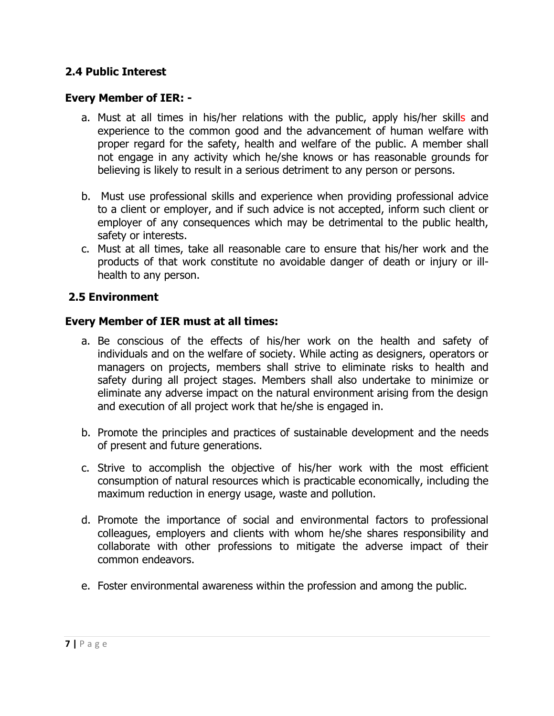#### **2.4 Public Interest**

#### **Every Member of IER: -**

- a. Must at all times in his/her relations with the public, apply his/her skills and experience to the common good and the advancement of human welfare with proper regard for the safety, health and welfare of the public. A member shall not engage in any activity which he/she knows or has reasonable grounds for believing is likely to result in a serious detriment to any person or persons.
- b. Must use professional skills and experience when providing professional advice to a client or employer, and if such advice is not accepted, inform such client or employer of any consequences which may be detrimental to the public health, safety or interests.
- c. Must at all times, take all reasonable care to ensure that his/her work and the products of that work constitute no avoidable danger of death or injury or illhealth to any person.

#### **2.5 Environment**

#### **Every Member of IER must at all times:**

- a. Be conscious of the effects of his/her work on the health and safety of individuals and on the welfare of society. While acting as designers, operators or managers on projects, members shall strive to eliminate risks to health and safety during all project stages. Members shall also undertake to minimize or eliminate any adverse impact on the natural environment arising from the design and execution of all project work that he/she is engaged in.
- b. Promote the principles and practices of sustainable development and the needs of present and future generations.
- c. Strive to accomplish the objective of his/her work with the most efficient consumption of natural resources which is practicable economically, including the maximum reduction in energy usage, waste and pollution.
- d. Promote the importance of social and environmental factors to professional colleagues, employers and clients with whom he/she shares responsibility and collaborate with other professions to mitigate the adverse impact of their common endeavors.
- e. Foster environmental awareness within the profession and among the public.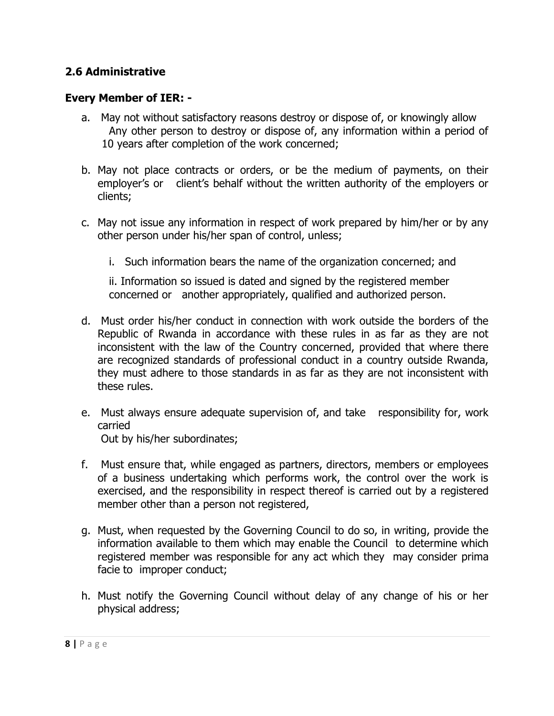#### **2.6 Administrative**

#### **Every Member of IER: -**

- a. May not without satisfactory reasons destroy or dispose of, or knowingly allow Any other person to destroy or dispose of, any information within a period of 10 years after completion of the work concerned;
- b. May not place contracts or orders, or be the medium of payments, on their employer's or client's behalf without the written authority of the employers or clients;
- c. May not issue any information in respect of work prepared by him/her or by any other person under his/her span of control, unless;
	- i. Such information bears the name of the organization concerned; and

 ii. Information so issued is dated and signed by the registered member concerned or another appropriately, qualified and authorized person.

- d. Must order his/her conduct in connection with work outside the borders of the Republic of Rwanda in accordance with these rules in as far as they are not inconsistent with the law of the Country concerned, provided that where there are recognized standards of professional conduct in a country outside Rwanda, they must adhere to those standards in as far as they are not inconsistent with these rules.
- e. Must always ensure adequate supervision of, and take responsibility for, work carried Out by his/her subordinates;
- f. Must ensure that, while engaged as partners, directors, members or employees of a business undertaking which performs work, the control over the work is exercised, and the responsibility in respect thereof is carried out by a registered member other than a person not registered,
- g. Must, when requested by the Governing Council to do so, in writing, provide the information available to them which may enable the Council to determine which registered member was responsible for any act which they may consider prima facie to improper conduct;
- h. Must notify the Governing Council without delay of any change of his or her physical address;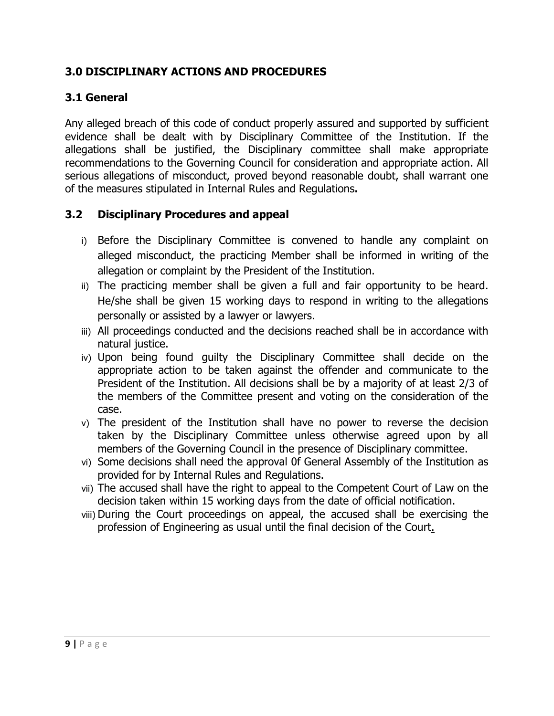### **3.0 DISCIPLINARY ACTIONS AND PROCEDURES**

# **3.1 General**

Any alleged breach of this code of conduct properly assured and supported by sufficient evidence shall be dealt with by Disciplinary Committee of the Institution. If the allegations shall be justified, the Disciplinary committee shall make appropriate recommendations to the Governing Council for consideration and appropriate action. All serious allegations of misconduct, proved beyond reasonable doubt, shall warrant one of the measures stipulated in Internal Rules and Regulations**.**

#### **3.2 Disciplinary Procedures and appeal**

- i) Before the Disciplinary Committee is convened to handle any complaint on alleged misconduct, the practicing Member shall be informed in writing of the allegation or complaint by the President of the Institution.
- ii) The practicing member shall be given a full and fair opportunity to be heard. He/she shall be given 15 working days to respond in writing to the allegations personally or assisted by a lawyer or lawyers.
- iii) All proceedings conducted and the decisions reached shall be in accordance with natural justice.
- iv) Upon being found guilty the Disciplinary Committee shall decide on the appropriate action to be taken against the offender and communicate to the President of the Institution. All decisions shall be by a majority of at least 2/3 of the members of the Committee present and voting on the consideration of the case.
- v) The president of the Institution shall have no power to reverse the decision taken by the Disciplinary Committee unless otherwise agreed upon by all members of the Governing Council in the presence of Disciplinary committee.
- vi) Some decisions shall need the approval 0f General Assembly of the Institution as provided for by Internal Rules and Regulations.
- vii) The accused shall have the right to appeal to the Competent Court of Law on the decision taken within 15 working days from the date of official notification.
- viii) During the Court proceedings on appeal, the accused shall be exercising the profession of Engineering as usual until the final decision of the Court.